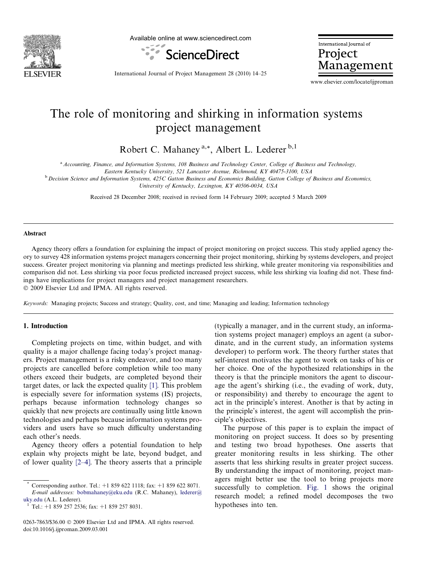

Available online at www.sciencedirect.com



International Journal of Project Management

International Journal of Project Management 28 (2010) 14–25

www.elsevier.com/locate/ijproman

# The role of monitoring and shirking in information systems project management

Robert C. Mahaney<sup>a,\*</sup>, Albert L. Lederer<sup>b,1</sup>

a Accounting, Finance, and Information Systems, 108 Business and Technology Center, College of Business and Technology,

Eastern Kentucky University, 521 Lancaster Avenue, Richmond, KY 40475-3100, USA

<sup>b</sup> Decision Science and Information Systems, 425C Gatton Business and Economics Building, Gatton College of Business and Economics,

University of Kentucky, Lexington, KY 40506-0034, USA

Received 28 December 2008; received in revised form 14 February 2009; accepted 5 March 2009

#### Abstract

Agency theory offers a foundation for explaining the impact of project monitoring on project success. This study applied agency theory to survey 428 information systems project managers concerning their project monitoring, shirking by systems developers, and project success. Greater project monitoring via planning and meetings predicted less shirking, while greater monitoring via responsibilities and comparison did not. Less shirking via poor focus predicted increased project success, while less shirking via loafing did not. These findings have implications for project managers and project management researchers.  $© 2009 Elsevier Ltd and IPMA. All rights reserved.$ 

Keywords: Managing projects; Success and strategy; Quality, cost, and time; Managing and leading; Information technology

### 1. Introduction

Completing projects on time, within budget, and with quality is a major challenge facing today's project managers. Project management is a risky endeavor, and too many projects are cancelled before completion while too many others exceed their budgets, are completed beyond their target dates, or lack the expected quality [\[1\].](#page--1-0) This problem is especially severe for information systems (IS) projects, perhaps because information technology changes so quickly that new projects are continually using little known technologies and perhaps because information systems providers and users have so much difficulty understanding each other's needs.

Agency theory offers a potential foundation to help explain why projects might be late, beyond budget, and of lower quality [\[2–4\].](#page--1-0) The theory asserts that a principle

(typically a manager, and in the current study, an information systems project manager) employs an agent (a subordinate, and in the current study, an information systems developer) to perform work. The theory further states that self-interest motivates the agent to work on tasks of his or her choice. One of the hypothesized relationships in the theory is that the principle monitors the agent to discourage the agent's shirking (i.e., the evading of work, duty, or responsibility) and thereby to encourage the agent to act in the principle's interest. Another is that by acting in the principle's interest, the agent will accomplish the principle's objectives.

The purpose of this paper is to explain the impact of monitoring on project success. It does so by presenting and testing two broad hypotheses. One asserts that greater monitoring results in less shirking. The other asserts that less shirking results in greater project success. By understanding the impact of monitoring, project managers might better use the tool to bring projects more successfully to completion. [Fig. 1](#page-1-0) shows the original research model; a refined model decomposes the two hypotheses into ten.

Corresponding author. Tel.: +1 859 622 1118; fax: +1 859 622 8071. E-mail addresses: [bobmahaney@eku.edu](mailto:bobmahaney@eku.edu) (R.C. Mahaney), [lederer@](mailto:lederer@ uky.edu)

[uky.edu](mailto:lederer@ uky.edu) (A.L. Lederer).<br><sup>1</sup> Tel.: +1 859 257 2536; fax: +1 859 257 8031.

<sup>0263-7863/\$36.00 © 2009</sup> Elsevier Ltd and IPMA. All rights reserved. doi:10.1016/j.ijproman.2009.03.001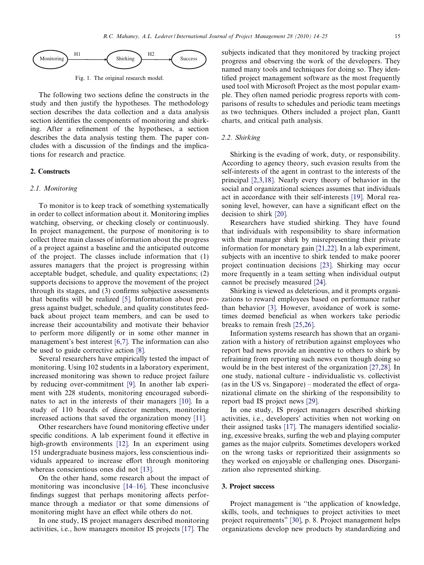<span id="page-1-0"></span>

Fig. 1. The original research model.

The following two sections define the constructs in the study and then justify the hypotheses. The methodology section describes the data collection and a data analysis section identifies the components of monitoring and shirking. After a refinement of the hypotheses, a section describes the data analysis testing them. The paper concludes with a discussion of the findings and the implications for research and practice.

## 2. Constructs

### 2.1. Monitoring

To monitor is to keep track of something systematically in order to collect information about it. Monitoring implies watching, observing, or checking closely or continuously. In project management, the purpose of monitoring is to collect three main classes of information about the progress of a project against a baseline and the anticipated outcome of the project. The classes include information that (1) assures managers that the project is progressing within acceptable budget, schedule, and quality expectations; (2) supports decisions to approve the movement of the project through its stages, and (3) confirms subjective assessments that benefits will be realized [\[5\]](#page--1-0). Information about progress against budget, schedule, and quality constitutes feedback about project team members, and can be used to increase their accountability and motivate their behavior to perform more diligently or in some other manner in management's best interest [\[6,7\]](#page--1-0). The information can also be used to guide corrective action [\[8\].](#page--1-0)

Several researchers have empirically tested the impact of monitoring. Using 102 students in a laboratory experiment, increased monitoring was shown to reduce project failure by reducing over-commitment [\[9\].](#page--1-0) In another lab experiment with 228 students, monitoring encouraged subordinates to act in the interests of their managers [\[10\].](#page--1-0) In a study of 110 boards of director members, monitoring increased actions that saved the organization money [\[11\].](#page--1-0)

Other researchers have found monitoring effective under specific conditions. A lab experiment found it effective in high-growth environments [\[12\]](#page--1-0). In an experiment using 151 undergraduate business majors, less conscientious individuals appeared to increase effort through monitoring whereas conscientious ones did not [\[13\].](#page--1-0)

On the other hand, some research about the impact of monitoring was inconclusive [\[14–16\].](#page--1-0) These inconclusive findings suggest that perhaps monitoring affects performance through a mediator or that some dimensions of monitoring might have an effect while others do not.

In one study, IS project managers described monitoring activities, i.e., how managers monitor IS projects [\[17\]](#page--1-0). The subjects indicated that they monitored by tracking project progress and observing the work of the developers. They named many tools and techniques for doing so. They identified project management software as the most frequently used tool with Microsoft Project as the most popular example. They often named periodic progress reports with comparisons of results to schedules and periodic team meetings as two techniques. Others included a project plan, Gantt charts, and critical path analysis.

#### 2.2. Shirking

Shirking is the evading of work, duty, or responsibility. According to agency theory, such evasion results from the self-interests of the agent in contrast to the interests of the principal [\[2,3,18\]](#page--1-0). Nearly every theory of behavior in the social and organizational sciences assumes that individuals act in accordance with their self-interests [\[19\].](#page--1-0) Moral reasoning level, however, can have a significant effect on the decision to shirk [\[20\].](#page--1-0)

Researchers have studied shirking. They have found that individuals with responsibility to share information with their manager shirk by misrepresenting their private information for monetary gain [\[21,22\]](#page--1-0). In a lab experiment, subjects with an incentive to shirk tended to make poorer project continuation decisions [\[23\].](#page--1-0) Shirking may occur more frequently in a team setting when individual output cannot be precisely measured [\[24\].](#page--1-0)

Shirking is viewed as deleterious, and it prompts organizations to reward employees based on performance rather than behavior [\[3\]](#page--1-0). However, avoidance of work is sometimes deemed beneficial as when workers take periodic breaks to remain fresh [\[25,26\]](#page--1-0).

Information systems research has shown that an organization with a history of retribution against employees who report bad news provide an incentive to others to shirk by refraining from reporting such news even though doing so would be in the best interest of the organization [\[27,28\].](#page--1-0) In one study, national culture - individualistic vs. collectivist (as in the US vs. Singapore) – moderated the effect of organizational climate on the shirking of the responsibility to report bad IS project news [\[29\].](#page--1-0)

In one study, IS project managers described shirking activities, i.e., developers' activities when not working on their assigned tasks [\[17\]](#page--1-0). The managers identified socializing, excessive breaks, surfing the web and playing computer games as the major culprits. Sometimes developers worked on the wrong tasks or reprioritized their assignments so they worked on enjoyable or challenging ones. Disorganization also represented shirking.

#### 3. Project success

Project management is ''the application of knowledge, skills, tools, and techniques to project activities to meet project requirements" [\[30\],](#page--1-0) p. 8. Project management helps organizations develop new products by standardizing and